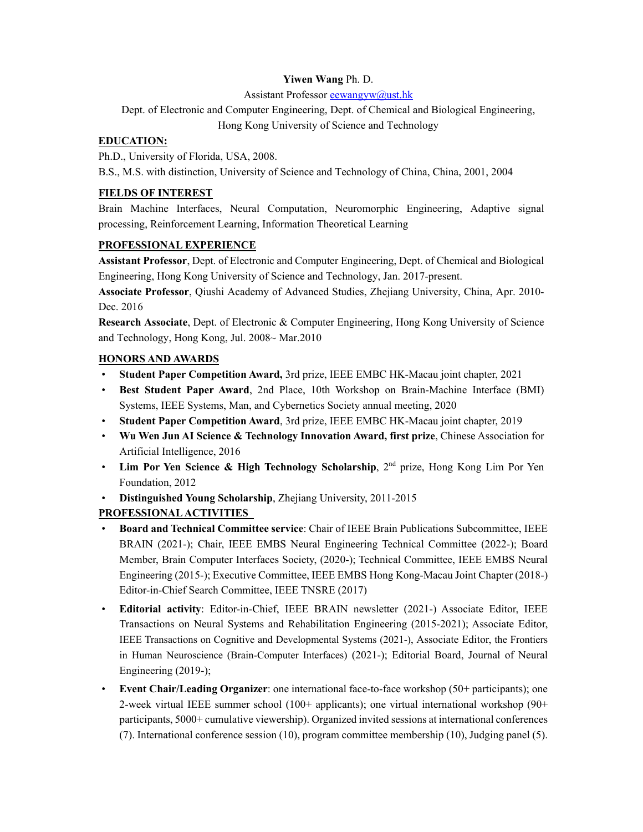### **Yiwen Wang** Ph. D.

Assistant Professor eewangyw@ust.hk

# Dept. of Electronic and Computer Engineering, Dept. of Chemical and Biological Engineering,

Hong Kong University of Science and Technology

### **EDUCATION:**

Ph.D., University of Florida, USA, 2008.

B.S., M.S. with distinction, University of Science and Technology of China, China, 2001, 2004

#### **FIELDS OF INTEREST**

Brain Machine Interfaces, Neural Computation, Neuromorphic Engineering, Adaptive signal processing, Reinforcement Learning, Information Theoretical Learning

#### **PROFESSIONAL EXPERIENCE**

**Assistant Professor**, Dept. of Electronic and Computer Engineering, Dept. of Chemical and Biological Engineering, Hong Kong University of Science and Technology, Jan. 2017-present.

**Associate Professor**, Qiushi Academy of Advanced Studies, Zhejiang University, China, Apr. 2010- Dec. 2016

**Research Associate**, Dept. of Electronic & Computer Engineering, Hong Kong University of Science and Technology, Hong Kong, Jul. 2008~ Mar.2010

#### **HONORS AND AWARDS**

- **Student Paper Competition Award,** 3rd prize, IEEE EMBC HK-Macau joint chapter, 2021
- **Best Student Paper Award**, 2nd Place, 10th Workshop on Brain-Machine Interface (BMI) Systems, IEEE Systems, Man, and Cybernetics Society annual meeting, 2020
- **Student Paper Competition Award**, 3rd prize, IEEE EMBC HK-Macau joint chapter, 2019
- **Wu Wen Jun AI Science & Technology Innovation Award, first prize**, Chinese Association for Artificial Intelligence, 2016
- **Lim Por Yen Science & High Technology Scholarship**, 2<sup>nd</sup> prize, Hong Kong Lim Por Yen Foundation, 2012
- **Distinguished Young Scholarship**, Zhejiang University, 2011-2015

## **PROFESSIONAL ACTIVITIES**

- **Board and Technical Committee service**: Chair of IEEE Brain Publications Subcommittee, IEEE BRAIN (2021-); Chair, IEEE EMBS Neural Engineering Technical Committee (2022-); Board Member, Brain Computer Interfaces Society, (2020-); Technical Committee, IEEE EMBS Neural Engineering (2015-); Executive Committee, IEEE EMBS Hong Kong-Macau Joint Chapter (2018-) Editor-in-Chief Search Committee, IEEE TNSRE (2017)
- **Editorial activity**: Editor-in-Chief, IEEE BRAIN newsletter (2021-) Associate Editor, IEEE Transactions on Neural Systems and Rehabilitation Engineering (2015-2021); Associate Editor, IEEE Transactions on Cognitive and Developmental Systems (2021-), Associate Editor, the Frontiers in Human Neuroscience (Brain-Computer Interfaces) (2021-); Editorial Board, Journal of Neural Engineering (2019-);
- **Event Chair/Leading Organizer**: one international face-to-face workshop (50+ participants); one 2-week virtual IEEE summer school (100+ applicants); one virtual international workshop (90+ participants, 5000+ cumulative viewership). Organized invited sessions at international conferences (7). International conference session (10), program committee membership (10), Judging panel (5).